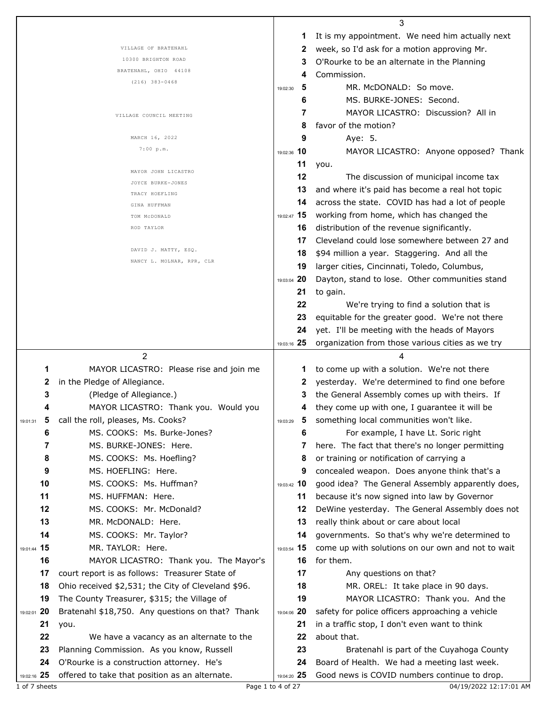|                   |                                                                                             |                                     | 3                                                                                            |
|-------------------|---------------------------------------------------------------------------------------------|-------------------------------------|----------------------------------------------------------------------------------------------|
|                   |                                                                                             |                                     | It is my appointment. We need him actually next                                              |
|                   | VILLAGE OF BRATENAHL                                                                        | 2                                   | week, so I'd ask for a motion approving Mr.                                                  |
|                   | 10300 BRIGHTON ROAD                                                                         | 3                                   | O'Rourke to be an alternate in the Planning                                                  |
|                   | BRATENAHL, OHIO 44108                                                                       | 4                                   | Commission.                                                                                  |
|                   | $(216)$ 383-0468                                                                            | 5<br>19:02:30                       | MR. McDONALD: So move.                                                                       |
|                   |                                                                                             | 6                                   | MS. BURKE-JONES: Second.                                                                     |
|                   |                                                                                             | 7                                   | MAYOR LICASTRO: Discussion? All in                                                           |
|                   | VILLAGE COUNCIL MEETING                                                                     | 8                                   | favor of the motion?                                                                         |
|                   | MARCH 16, 2022                                                                              | 9                                   |                                                                                              |
|                   | 7:00 p.m.                                                                                   |                                     | Aye: 5.                                                                                      |
|                   |                                                                                             | 19:02:36 10                         | MAYOR LICASTRO: Anyone opposed? Thank                                                        |
|                   | MAYOR JOHN LICASTRO                                                                         | 11                                  | you.                                                                                         |
|                   | JOYCE BURKE-JONES                                                                           | 12                                  | The discussion of municipal income tax                                                       |
|                   | TRACY HOEFLING                                                                              | 13                                  | and where it's paid has become a real hot topic                                              |
|                   | GINA HUFFMAN                                                                                | 14                                  | across the state. COVID has had a lot of people                                              |
|                   | TOM MCDONALD                                                                                | 19:02:47 15                         | working from home, which has changed the                                                     |
|                   | ROD TAYLOR                                                                                  | 16                                  | distribution of the revenue significantly.                                                   |
|                   |                                                                                             | 17                                  | Cleveland could lose somewhere between 27 and                                                |
|                   | DAVID J. MATTY, ESQ.                                                                        | 18                                  | \$94 million a year. Staggering. And all the                                                 |
|                   | NANCY L. MOLNAR, RPR, CLR                                                                   | 19                                  | larger cities, Cincinnati, Toledo, Columbus,                                                 |
|                   |                                                                                             | 19:03:04 20                         | Dayton, stand to lose. Other communities stand                                               |
|                   |                                                                                             | 21                                  | to gain.                                                                                     |
|                   |                                                                                             | 22                                  | We're trying to find a solution that is                                                      |
|                   |                                                                                             | 23                                  | equitable for the greater good. We're not there                                              |
|                   |                                                                                             | 24                                  | yet. I'll be meeting with the heads of Mayors                                                |
|                   |                                                                                             | 19:03:16 25                         | organization from those various cities as we try                                             |
|                   |                                                                                             |                                     |                                                                                              |
|                   |                                                                                             |                                     |                                                                                              |
|                   | $\overline{2}$                                                                              |                                     | 4                                                                                            |
| 1                 | MAYOR LICASTRO: Please rise and join me                                                     | 1                                   | to come up with a solution. We're not there                                                  |
| 2                 | in the Pledge of Allegiance.                                                                | 2                                   | yesterday. We're determined to find one before                                               |
| 3                 | (Pledge of Allegiance.)                                                                     | 3                                   | the General Assembly comes up with theirs. If                                                |
|                   | MAYOR LICASTRO: Thank you. Would you                                                        | 4                                   | they come up with one, I guarantee it will be                                                |
| 5<br>19:01:31     | call the roll, pleases, Ms. Cooks?                                                          | $\overline{\mathbf{5}}$<br>19:03:29 | something local communities won't like.                                                      |
| 6                 | MS. COOKS: Ms. Burke-Jones?                                                                 | 6                                   | For example, I have Lt. Soric right                                                          |
| 7                 | MS. BURKE-JONES: Here.                                                                      | 7                                   | here. The fact that there's no longer permitting                                             |
| 8                 | MS. COOKS: Ms. Hoefling?                                                                    | 8                                   | or training or notification of carrying a                                                    |
| 9                 | MS. HOEFLING: Here.                                                                         | 9                                   | concealed weapon. Does anyone think that's a                                                 |
| 10                | MS. COOKS: Ms. Huffman?                                                                     | 19:03:42 10                         | good idea? The General Assembly apparently does,                                             |
| 11                | MS. HUFFMAN: Here.                                                                          | 11                                  | because it's now signed into law by Governor                                                 |
| 12                | MS. COOKS: Mr. McDonald?                                                                    | 12                                  | DeWine yesterday. The General Assembly does not                                              |
| 13                | MR. McDONALD: Here.                                                                         | 13                                  | really think about or care about local                                                       |
| 14                | MS. COOKS: Mr. Taylor?                                                                      | 14                                  | governments. So that's why we're determined to                                               |
|                   | MR. TAYLOR: Here.                                                                           |                                     |                                                                                              |
| 19:01:44 15       |                                                                                             | 19:03:54 15<br>16                   | come up with solutions on our own and not to wait                                            |
| 16                | MAYOR LICASTRO: Thank you. The Mayor's                                                      |                                     | for them.                                                                                    |
| 17                | court report is as follows: Treasurer State of                                              | 17                                  | Any questions on that?                                                                       |
| 18                | Ohio received \$2,531; the City of Cleveland \$96.                                          | 18                                  | MR. OREL: It take place in 90 days.                                                          |
| 19                | The County Treasurer, \$315; the Village of                                                 | 19                                  | MAYOR LICASTRO: Thank you. And the                                                           |
| 19:02:01 20       | Bratenahl \$18,750. Any questions on that? Thank                                            | 19:04:06 20                         | safety for police officers approaching a vehicle                                             |
| 21                | you.                                                                                        | 21                                  | in a traffic stop, I don't even want to think                                                |
| 22                | We have a vacancy as an alternate to the                                                    | 22                                  | about that.                                                                                  |
| 23                | Planning Commission. As you know, Russell                                                   | 23                                  | Bratenahl is part of the Cuyahoga County                                                     |
| 24<br>19:02:16 25 | O'Rourke is a construction attorney. He's<br>offered to take that position as an alternate. | 24<br>19:04:20 25                   | Board of Health. We had a meeting last week.<br>Good news is COVID numbers continue to drop. |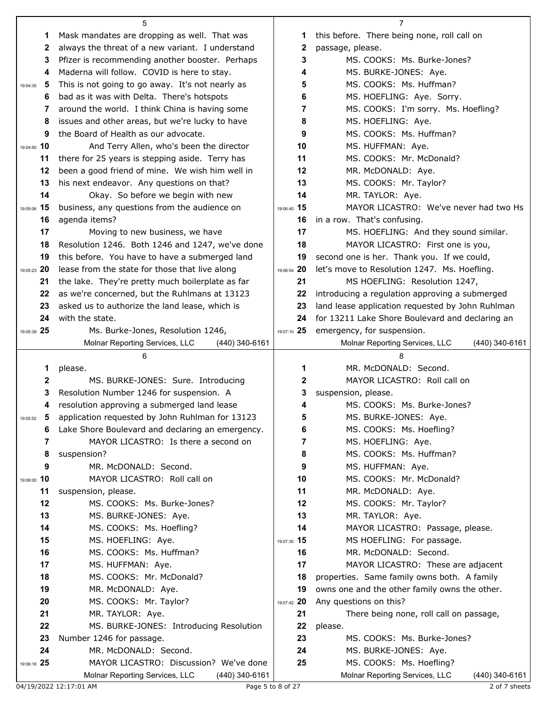|                | 5                                                |             | 7                                                                                            |
|----------------|--------------------------------------------------|-------------|----------------------------------------------------------------------------------------------|
| 1              | Mask mandates are dropping as well. That was     | 1           | this before. There being none, roll call on                                                  |
| 2              | always the threat of a new variant. I understand | 2           | passage, please.                                                                             |
| 3              | Pfizer is recommending another booster. Perhaps  | 3           | MS. COOKS: Ms. Burke-Jones?                                                                  |
| 4              | Maderna will follow. COVID is here to stay.      | 4           | MS. BURKE-JONES: Aye.                                                                        |
| 5<br>19:04:35  | This is not going to go away. It's not nearly as | 5           | MS. COOKS: Ms. Huffman?                                                                      |
| 6              | bad as it was with Delta. There's hotspots       | 6           | MS. HOEFLING: Aye. Sorry.                                                                    |
| 7              | around the world. I think China is having some   | 7           | MS. COOKS: I'm sorry. Ms. Hoefling?                                                          |
| 8              | issues and other areas, but we're lucky to have  | 8           | MS. HOEFLING: Aye.                                                                           |
| 9              | the Board of Health as our advocate.             | 9           | MS. COOKS: Ms. Huffman?                                                                      |
| 19:04:50 10    | And Terry Allen, who's been the director         | 10          | MS. HUFFMAN: Aye.                                                                            |
| 11             | there for 25 years is stepping aside. Terry has  | 11          | MS. COOKS: Mr. McDonald?                                                                     |
| 12             | been a good friend of mine. We wish him well in  | 12          | MR. McDONALD: Aye.                                                                           |
| 13             | his next endeavor. Any questions on that?        | 13          | MS. COOKS: Mr. Taylor?                                                                       |
| 14             | Okay. So before we begin with new                | 14          | MR. TAYLOR: Aye.                                                                             |
| 19:05:06 15    | business, any questions from the audience on     | 19:06:40 15 | MAYOR LICASTRO: We've never had two Hs                                                       |
| 16             | agenda items?                                    | 16          | in a row. That's confusing.                                                                  |
| 17             | Moving to new business, we have                  | 17          | MS. HOEFLING: And they sound similar.                                                        |
| 18             | Resolution 1246. Both 1246 and 1247, we've done  | 18          | MAYOR LICASTRO: First one is you,                                                            |
| 19             | this before. You have to have a submerged land   | 19          | second one is her. Thank you. If we could,                                                   |
| 19:05:23 20    | lease from the state for those that live along   | 19:06:54 20 | let's move to Resolution 1247. Ms. Hoefling.                                                 |
| 21             | the lake. They're pretty much boilerplate as far | 21          | MS HOEFLING: Resolution 1247,                                                                |
| 22             | as we're concerned, but the Ruhlmans at 13123    | 22          | introducing a regulation approving a submerged                                               |
| 23             | asked us to authorize the land lease, which is   | 23          | land lease application requested by John Ruhlman                                             |
| 24             | with the state.                                  | 24          | for 13211 Lake Shore Boulevard and declaring an                                              |
| 19:05:38 25    | Ms. Burke-Jones, Resolution 1246,                | 19:07:10 25 | emergency, for suspension.                                                                   |
|                | Molnar Reporting Services, LLC<br>(440) 340-6161 |             | (440) 340-6161<br>Molnar Reporting Services, LLC                                             |
|                |                                                  |             |                                                                                              |
|                | 6                                                |             | 8                                                                                            |
| 1              | please.                                          | 1           | MR. McDONALD: Second.                                                                        |
| 2              | MS. BURKE-JONES: Sure. Introducing               | 2           | MAYOR LICASTRO: Roll call on                                                                 |
| 3              | Resolution Number 1246 for suspension. A         | 3           | suspension, please.                                                                          |
| 4              | resolution approving a submerged land lease      | 4           | MS. COOKS: Ms. Burke-Jones?                                                                  |
| 5<br>19:05:52  | application requested by John Ruhlman for 13123  | 5           | MS. BURKE-JONES: Aye.                                                                        |
| 6              | Lake Shore Boulevard and declaring an emergency. | 6           | MS. COOKS: Ms. Hoefling?                                                                     |
| 7              | MAYOR LICASTRO: Is there a second on             | 7           | MS. HOEFLING: Aye.                                                                           |
| 8              | suspension?                                      | 8           | MS. COOKS: Ms. Huffman?                                                                      |
| 9              | MR. McDONALD: Second.                            | 9           | MS. HUFFMAN: Aye.                                                                            |
| 10<br>19:06:00 | MAYOR LICASTRO: Roll call on                     | 10          | MS. COOKS: Mr. McDonald?                                                                     |
| 11             | suspension, please.                              | 11          | MR. McDONALD: Aye.                                                                           |
| 12             | MS. COOKS: Ms. Burke-Jones?                      | 12          | MS. COOKS: Mr. Taylor?                                                                       |
| 13             | MS. BURKE-JONES: Aye.                            | 13          | MR. TAYLOR: Aye.                                                                             |
| 14             | MS. COOKS: Ms. Hoefling?                         | 14          | MAYOR LICASTRO: Passage, please.                                                             |
| 15             | MS. HOEFLING: Aye.                               | 19:07:30 15 | MS HOEFLING: For passage.                                                                    |
| 16             | MS. COOKS: Ms. Huffman?                          | 16          | MR. McDONALD: Second.                                                                        |
| 17             | MS. HUFFMAN: Aye.                                | 17<br>18    | MAYOR LICASTRO: These are adjacent                                                           |
| 18<br>19       | MS. COOKS: Mr. McDonald?<br>MR. McDONALD: Aye.   | 19          | properties. Same family owns both. A family<br>owns one and the other family owns the other. |
| 20             | MS. COOKS: Mr. Taylor?                           | 19:07:42 20 | Any questions on this?                                                                       |
| 21             | MR. TAYLOR: Aye.                                 | 21          | There being none, roll call on passage,                                                      |
| 22             | MS. BURKE-JONES: Introducing Resolution          | 22          | please.                                                                                      |
| 23             | Number 1246 for passage.                         | 23          | MS. COOKS: Ms. Burke-Jones?                                                                  |
| 24             | MR. McDONALD: Second.                            | 24          | MS. BURKE-JONES: Aye.                                                                        |
| 19:06:18 25    | MAYOR LICASTRO: Discussion? We've done           | 25          | MS. COOKS: Ms. Hoefling?                                                                     |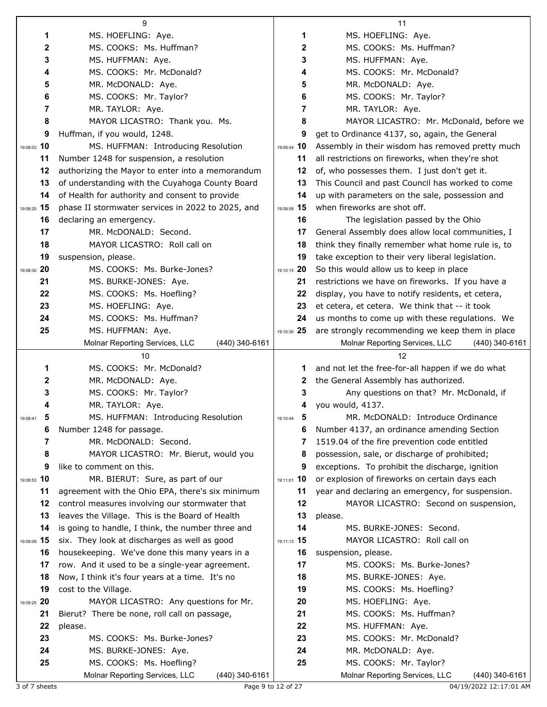|               | 9                                                 |               | 11                                                |
|---------------|---------------------------------------------------|---------------|---------------------------------------------------|
| 1             | MS. HOEFLING: Aye.                                | 1             | MS. HOEFLING: Aye.                                |
| 2             | MS. COOKS: Ms. Huffman?                           | 2             | MS. COOKS: Ms. Huffman?                           |
| 3             | MS. HUFFMAN: Aye.                                 | 3             | MS. HUFFMAN: Aye.                                 |
| 4             | MS. COOKS: Mr. McDonald?                          | 4             | MS. COOKS: Mr. McDonald?                          |
| 5             | MR. McDONALD: Aye.                                | 5             | MR. McDONALD: Aye.                                |
| 6             | MS. COOKS: Mr. Taylor?                            | 6             | MS. COOKS: Mr. Taylor?                            |
| 7             | MR. TAYLOR: Aye.                                  | 7             | MR. TAYLOR: Aye.                                  |
| 8             | MAYOR LICASTRO: Thank you. Ms.                    | 8             | MAYOR LICASTRO: Mr. McDonald, before we           |
| 9             | Huffman, if you would, 1248.                      | 9             | get to Ordinance 4137, so, again, the General     |
| 19:08:03 10   | MS. HUFFMAN: Introducing Resolution               | 19:09:44 10   | Assembly in their wisdom has removed pretty much  |
| 11            | Number 1248 for suspension, a resolution          | 11            | all restrictions on fireworks, when they're shot  |
| 12            | authorizing the Mayor to enter into a memorandum  | 12            | of, who possesses them. I just don't get it.      |
| 13            | of understanding with the Cuyahoga County Board   | 13            | This Council and past Council has worked to come  |
| 14            | of Health for authority and consent to provide    | 14            | up with parameters on the sale, possession and    |
| 19:08:20 15   | phase II stormwater services in 2022 to 2025, and | 19:09:59 15   | when fireworks are shot off.                      |
| 16            | declaring an emergency.                           | 16            | The legislation passed by the Ohio                |
| 17            | MR. McDONALD: Second.                             | 17            | General Assembly does allow local communities, I  |
| 18            | MAYOR LICASTRO: Roll call on                      | 18            | think they finally remember what home rule is, to |
| 19            | suspension, please.                               | 19            | take exception to their very liberal legislation. |
| 19:08:30 20   | MS. COOKS: Ms. Burke-Jones?                       | 19:10:15 20   | So this would allow us to keep in place           |
| 21            | MS. BURKE-JONES: Aye.                             | 21            | restrictions we have on fireworks. If you have a  |
| 22            | MS. COOKS: Ms. Hoefling?                          | 22            | display, you have to notify residents, et cetera, |
| 23            | MS. HOEFLING: Aye.                                | 23            | et cetera, et cetera. We think that -- it took    |
| 24            | MS. COOKS: Ms. Huffman?                           | 24            | us months to come up with these regulations. We   |
| 25            | MS. HUFFMAN: Aye.                                 | 19:10:30 25   | are strongly recommending we keep them in place   |
|               | Molnar Reporting Services, LLC<br>(440) 340-6161  |               | Molnar Reporting Services, LLC<br>(440) 340-6161  |
|               |                                                   |               |                                                   |
|               | 10                                                |               | 12                                                |
| 1             | MS. COOKS: Mr. McDonald?                          | 1             | and not let the free-for-all happen if we do what |
| 2             | MR. McDONALD: Aye.                                | 2             | the General Assembly has authorized.              |
| 3             | MS. COOKS: Mr. Taylor?                            | 3             | Any questions on that? Mr. McDonald, if           |
| 4             | MR. TAYLOR: Aye.                                  | 4             | you would, 4137.                                  |
| б<br>19:08:41 | MS. HUFFMAN: Introducing Resolution               | 5<br>19:10:44 | MR. McDONALD: Introduce Ordinance                 |
| 6             | Number 1248 for passage.                          | 6             | Number 4137, an ordinance amending Section        |
| 7             | MR. McDONALD: Second.                             | 7             | 1519.04 of the fire prevention code entitled      |
| 8             | MAYOR LICASTRO: Mr. Bierut, would you             | 8             | possession, sale, or discharge of prohibited;     |
| 9             | like to comment on this.                          | 9             | exceptions. To prohibit the discharge, ignition   |
| 19:08:53 10   | MR. BIERUT: Sure, as part of our                  | 19:11:01 10   | or explosion of fireworks on certain days each    |
| 11            | agreement with the Ohio EPA, there's six minimum  | 11            | year and declaring an emergency, for suspension.  |
| 12            | control measures involving our stormwater that    | 12            | MAYOR LICASTRO: Second on suspension,             |
| 13            | leaves the Village. This is the Board of Health   | 13            | please.                                           |
| 14            | is going to handle, I think, the number three and | 14            | MS. BURKE-JONES: Second.                          |
| 19:09:09 15   | six. They look at discharges as well as good      | 19:11:13 15   | MAYOR LICASTRO: Roll call on                      |
| 16            | housekeeping. We've done this many years in a     | 16            | suspension, please.                               |
| 17            | row. And it used to be a single-year agreement.   | 17            | MS. COOKS: Ms. Burke-Jones?                       |
| 18            | Now, I think it's four years at a time. It's no   | 18            | MS. BURKE-JONES: Aye.                             |
| 19            | cost to the Village.                              | 19            | MS. COOKS: Ms. Hoefling?                          |
| 19:09:25 20   | MAYOR LICASTRO: Any questions for Mr.             | 20            | MS. HOEFLING: Aye.                                |
| 21            | Bierut? There be none, roll call on passage,      | 21            | MS. COOKS: Ms. Huffman?                           |
| 22            | please.                                           | 22            | MS. HUFFMAN: Aye.                                 |
| 23            | MS. COOKS: Ms. Burke-Jones?                       | 23            | MS. COOKS: Mr. McDonald?                          |
| 24<br>25      | MS. BURKE-JONES: Aye.<br>MS. COOKS: Ms. Hoefling? | 24<br>25      | MR. McDONALD: Aye.<br>MS. COOKS: Mr. Taylor?      |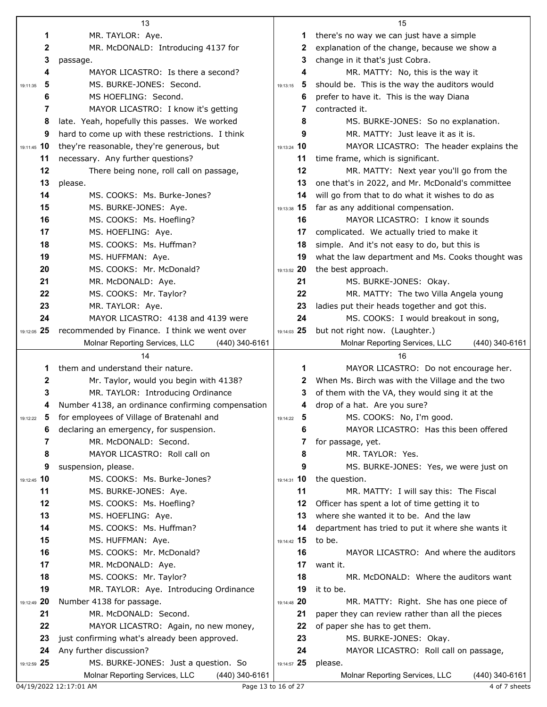|               | 13                                                              |                                     | 15                                                                                      |
|---------------|-----------------------------------------------------------------|-------------------------------------|-----------------------------------------------------------------------------------------|
| 1             | MR. TAYLOR: Aye.                                                | 1                                   | there's no way we can just have a simple                                                |
| 2             | MR. McDONALD: Introducing 4137 for                              | 2                                   | explanation of the change, because we show a                                            |
| 3             | passage.                                                        | 3                                   | change in it that's just Cobra.                                                         |
| 4             | MAYOR LICASTRO: Is there a second?                              | 4                                   | MR. MATTY: No, this is the way it                                                       |
| 5<br>19:11:35 | MS. BURKE-JONES: Second.                                        | 5<br>19:13:15                       | should be. This is the way the auditors would                                           |
| 6             | MS HOEFLING: Second.                                            | 6                                   | prefer to have it. This is the way Diana                                                |
| 7             | MAYOR LICASTRO: I know it's getting                             | 7                                   | contracted it.                                                                          |
| 8             | late. Yeah, hopefully this passes. We worked                    | 8                                   | MS. BURKE-JONES: So no explanation.                                                     |
| 9             | hard to come up with these restrictions. I think                | 9                                   | MR. MATTY: Just leave it as it is.                                                      |
| 19:11:45 10   | they're reasonable, they're generous, but                       | 19:13:24 10                         | MAYOR LICASTRO: The header explains the                                                 |
| 11            | necessary. Any further questions?                               | 11                                  | time frame, which is significant.                                                       |
| 12            | There being none, roll call on passage,                         | 12                                  | MR. MATTY: Next year you'll go from the                                                 |
| 13            | please.                                                         | 13                                  | one that's in 2022, and Mr. McDonald's committee                                        |
| 14            | MS. COOKS: Ms. Burke-Jones?                                     | 14                                  | will go from that to do what it wishes to do as                                         |
| 15            | MS. BURKE-JONES: Aye.                                           | 19:13:38 15                         | far as any additional compensation.                                                     |
| 16            | MS. COOKS: Ms. Hoefling?                                        | 16                                  | MAYOR LICASTRO: I know it sounds                                                        |
| 17            | MS. HOEFLING: Aye.                                              | 17                                  | complicated. We actually tried to make it                                               |
| 18            | MS. COOKS: Ms. Huffman?                                         | 18                                  | simple. And it's not easy to do, but this is                                            |
| 19            | MS. HUFFMAN: Aye.                                               | 19                                  | what the law department and Ms. Cooks thought was                                       |
| 20            | MS. COOKS: Mr. McDonald?                                        | 19:13:52 20                         | the best approach.                                                                      |
| 21            | MR. McDONALD: Aye.                                              | 21                                  | MS. BURKE-JONES: Okay.                                                                  |
| 22            | MS. COOKS: Mr. Taylor?                                          | 22                                  | MR. MATTY: The two Villa Angela young                                                   |
| 23            | MR. TAYLOR: Aye.                                                | 23                                  | ladies put their heads together and got this.                                           |
| 24            | MAYOR LICASTRO: 4138 and 4139 were                              | 24                                  | MS. COOKS: I would breakout in song,                                                    |
| 19:12:05 25   | recommended by Finance. I think we went over                    | 19:14:03 25                         | but not right now. (Laughter.)                                                          |
|               | Molnar Reporting Services, LLC<br>$(440)$ 340-6161              |                                     | Molnar Reporting Services, LLC<br>$(440)$ 340-6161                                      |
|               | 14                                                              |                                     | 16                                                                                      |
| 1             | them and understand their nature.                               | 1                                   | MAYOR LICASTRO: Do not encourage her.                                                   |
| 2             | Mr. Taylor, would you begin with 4138?                          | 2                                   | When Ms. Birch was with the Village and the two                                         |
| 3             | MR. TAYLOR: Introducing Ordinance                               | 3                                   | of them with the VA, they would sing it at the                                          |
| 4             | Number 4138, an ordinance confirming compensation               | 4                                   | drop of a hat. Are you sure?                                                            |
| 19:12:22 5    | for employees of Village of Bratenahl and                       | $\overline{\mathbf{5}}$<br>19:14:22 | MS. COOKS: No, I'm good.                                                                |
| 6             | declaring an emergency, for suspension.                         | 6                                   | MAYOR LICASTRO: Has this been offered                                                   |
| 7             | MR. McDONALD: Second.                                           | 7                                   | for passage, yet.                                                                       |
| 8             | MAYOR LICASTRO: Roll call on                                    | 8                                   | MR. TAYLOR: Yes.                                                                        |
| 9             | suspension, please.                                             | 9                                   | MS. BURKE-JONES: Yes, we were just on                                                   |
| 19:12:45 10   | MS. COOKS: Ms. Burke-Jones?                                     | 19:14:31 10                         | the question.                                                                           |
| 11            | MS. BURKE-JONES: Aye.                                           | 11                                  | MR. MATTY: I will say this: The Fiscal                                                  |
| 12            | MS. COOKS: Ms. Hoefling?                                        | 12                                  | Officer has spent a lot of time getting it to<br>where she wanted it to be. And the law |
| 13            | MS. HOEFLING: Aye.                                              | 13                                  |                                                                                         |
| 14<br>15      | MS. COOKS: Ms. Huffman?                                         | 14<br>19:14:42 15                   | department has tried to put it where she wants it<br>to be.                             |
| 16            | MS. HUFFMAN: Aye.<br>MS. COOKS: Mr. McDonald?                   | 16                                  | MAYOR LICASTRO: And where the auditors                                                  |
| 17            | MR. McDONALD: Aye.                                              | 17                                  | want it.                                                                                |
| 18            | MS. COOKS: Mr. Taylor?                                          | 18                                  | MR. McDONALD: Where the auditors want                                                   |
| 19            | MR. TAYLOR: Aye. Introducing Ordinance                          | 19                                  | it to be.                                                                               |
| 19:12:49 20   | Number 4138 for passage.                                        | 19:14:48 20                         | MR. MATTY: Right. She has one piece of                                                  |
| 21            | MR. McDONALD: Second.                                           | 21                                  | paper they can review rather than all the pieces                                        |
|               |                                                                 |                                     |                                                                                         |
|               |                                                                 |                                     |                                                                                         |
| 22<br>23      | MAYOR LICASTRO: Again, no new money,                            | 22<br>23                            | of paper she has to get them.                                                           |
| 24            | just confirming what's already been approved.                   | 24                                  | MS. BURKE-JONES: Okay.                                                                  |
| 19:12:59 25   | Any further discussion?<br>MS. BURKE-JONES: Just a question. So | 19:14:57 25                         | MAYOR LICASTRO: Roll call on passage,<br>please.                                        |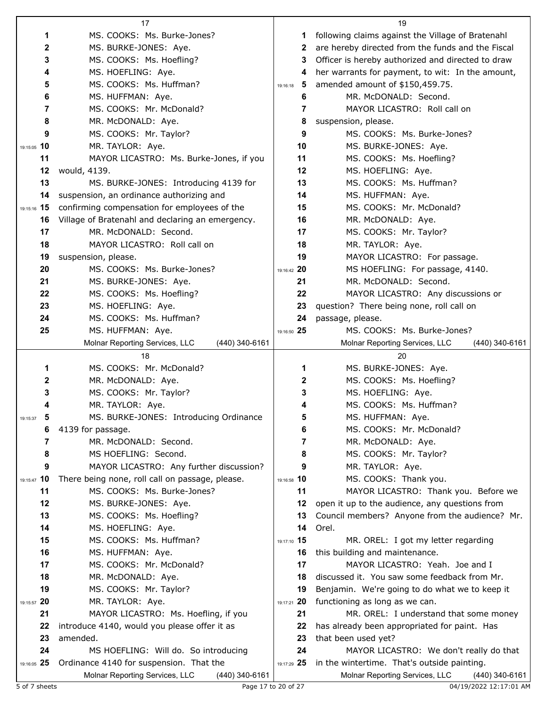|                   | 17                                                                              |                   | 19                                                                                     |
|-------------------|---------------------------------------------------------------------------------|-------------------|----------------------------------------------------------------------------------------|
| 1                 | MS. COOKS: Ms. Burke-Jones?                                                     | 1                 | following claims against the Village of Bratenahl                                      |
| 2                 | MS. BURKE-JONES: Aye.                                                           | 2                 | are hereby directed from the funds and the Fiscal                                      |
| 3                 | MS. COOKS: Ms. Hoefling?                                                        | 3                 | Officer is hereby authorized and directed to draw                                      |
| 4                 | MS. HOEFLING: Aye.                                                              | 4                 | her warrants for payment, to wit: In the amount,                                       |
| 5                 | MS. COOKS: Ms. Huffman?                                                         | 5<br>19:16:18     | amended amount of \$150,459.75.                                                        |
| 6                 | MS. HUFFMAN: Aye.                                                               | 6                 | MR. McDONALD: Second.                                                                  |
| 7                 | MS. COOKS: Mr. McDonald?                                                        | 7                 | MAYOR LICASTRO: Roll call on                                                           |
| 8                 | MR. McDONALD: Aye.                                                              | 8                 | suspension, please.                                                                    |
| 9                 | MS. COOKS: Mr. Taylor?                                                          | 9                 | MS. COOKS: Ms. Burke-Jones?                                                            |
| 19:15:05 10       | MR. TAYLOR: Aye.                                                                | 10                | MS. BURKE-JONES: Aye.                                                                  |
| 11                | MAYOR LICASTRO: Ms. Burke-Jones, if you                                         | 11                | MS. COOKS: Ms. Hoefling?                                                               |
| 12                | would, 4139.                                                                    | 12                | MS. HOEFLING: Aye.                                                                     |
| 13                | MS. BURKE-JONES: Introducing 4139 for                                           | 13                | MS. COOKS: Ms. Huffman?                                                                |
| 14                | suspension, an ordinance authorizing and                                        | 14                | MS. HUFFMAN: Aye.                                                                      |
| 15<br>19:15:16    | confirming compensation for employees of the                                    | 15                | MS. COOKS: Mr. McDonald?                                                               |
| 16                | Village of Bratenahl and declaring an emergency.                                | 16                | MR. McDONALD: Aye.                                                                     |
| 17                | MR. McDONALD: Second.                                                           | 17                | MS. COOKS: Mr. Taylor?                                                                 |
| 18                | MAYOR LICASTRO: Roll call on                                                    | 18                | MR. TAYLOR: Aye.                                                                       |
| 19                | suspension, please.                                                             | 19                | MAYOR LICASTRO: For passage.                                                           |
| 20                | MS. COOKS: Ms. Burke-Jones?                                                     | 19:16:42 20       | MS HOEFLING: For passage, 4140.                                                        |
| 21                | MS. BURKE-JONES: Aye.                                                           | 21                | MR. McDONALD: Second.                                                                  |
| 22                | MS. COOKS: Ms. Hoefling?                                                        | 22                | MAYOR LICASTRO: Any discussions or                                                     |
| 23                | MS. HOEFLING: Aye.                                                              | 23                | question? There being none, roll call on                                               |
| 24                | MS. COOKS: Ms. Huffman?                                                         | 24                | passage, please.                                                                       |
| 25                | MS. HUFFMAN: Aye.                                                               | 19:16:50 25       | MS. COOKS: Ms. Burke-Jones?                                                            |
|                   | Molnar Reporting Services, LLC<br>(440) 340-6161                                |                   | Molnar Reporting Services, LLC<br>(440) 340-6161                                       |
|                   |                                                                                 |                   |                                                                                        |
|                   | 18                                                                              |                   | 20                                                                                     |
| 1                 | MS. COOKS: Mr. McDonald?                                                        | 1                 | MS. BURKE-JONES: Aye.                                                                  |
| 2                 | MR. McDONALD: Aye.                                                              | $\mathbf{2}$      | MS. COOKS: Ms. Hoefling?                                                               |
| 3                 | MS. COOKS: Mr. Taylor?                                                          | 3                 | MS. HOEFLING: Aye.                                                                     |
| 4                 | MR. TAYLOR: Aye.                                                                | 4                 | MS. COOKS: Ms. Huffman?                                                                |
| 5<br>19:15:37     | MS. BURKE-JONES: Introducing Ordinance                                          | 5                 | MS. HUFFMAN: Aye.                                                                      |
| 6                 | 4139 for passage.                                                               | 6                 | MS. COOKS: Mr. McDonald?                                                               |
| 7                 | MR. McDONALD: Second.                                                           | 7                 | MR. McDONALD: Aye.                                                                     |
| 8                 | MS HOEFLING: Second.                                                            | 8                 | MS. COOKS: Mr. Taylor?                                                                 |
| 9                 | MAYOR LICASTRO: Any further discussion?                                         | 9                 | MR. TAYLOR: Aye.                                                                       |
| 19:15:47 10       | There being none, roll call on passage, please.                                 | 19:16:58 10       | MS. COOKS: Thank you.                                                                  |
| 11                | MS. COOKS: Ms. Burke-Jones?                                                     | 11                | MAYOR LICASTRO: Thank you. Before we                                                   |
| 12                | MS. BURKE-JONES: Aye.                                                           | 12                | open it up to the audience, any questions from                                         |
| 13                | MS. COOKS: Ms. Hoefling?                                                        | 13                | Council members? Anyone from the audience? Mr.                                         |
| 14                | MS. HOEFLING: Aye.                                                              | 14                | Orel.                                                                                  |
| 15                | MS. COOKS: Ms. Huffman?                                                         | 19:17:10 15       | MR. OREL: I got my letter regarding                                                    |
| 16                | MS. HUFFMAN: Aye.                                                               | 16                | this building and maintenance.                                                         |
| 17                | MS. COOKS: Mr. McDonald?                                                        | 17                | MAYOR LICASTRO: Yeah. Joe and I                                                        |
| 18                | MR. McDONALD: Aye.                                                              | 18                | discussed it. You saw some feedback from Mr.                                           |
| 19                | MS. COOKS: Mr. Taylor?                                                          | 19                | Benjamin. We're going to do what we to keep it                                         |
| 19:15:57 20       | MR. TAYLOR: Aye.                                                                | 19:17:21 20       | functioning as long as we can.                                                         |
| 21                | MAYOR LICASTRO: Ms. Hoefling, if you                                            | 21                | MR. OREL: I understand that some money                                                 |
| 22                | introduce 4140, would you please offer it as                                    | 22                | has already been appropriated for paint. Has                                           |
| 23                | amended.                                                                        | 23                | that been used yet?                                                                    |
| 24<br>19:16:05 25 | MS HOEFLING: Will do. So introducing<br>Ordinance 4140 for suspension. That the | 24<br>19:17:29 25 | MAYOR LICASTRO: We don't really do that<br>in the wintertime. That's outside painting. |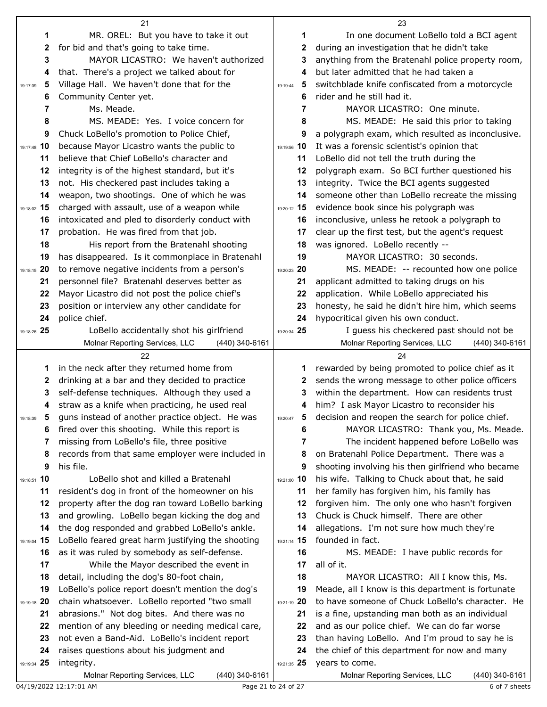|               | 21                                                     |                     | 23                                                              |
|---------------|--------------------------------------------------------|---------------------|-----------------------------------------------------------------|
| 1             | MR. OREL: But you have to take it out                  | 1                   | In one document LoBello told a BCI agent                        |
| $\mathbf{2}$  | for bid and that's going to take time.                 | 2                   | during an investigation that he didn't take                     |
| 3             | MAYOR LICASTRO: We haven't authorized                  | 3                   | anything from the Bratenahl police property room,               |
| 4             | that. There's a project we talked about for            | 4                   | but later admitted that he had taken a                          |
| 5<br>19:17:39 | Village Hall. We haven't done that for the             | 5<br>19:19:44       | switchblade knife confiscated from a motorcycle                 |
| 6             | Community Center yet.                                  | 6                   | rider and he still had it.                                      |
| 7             | Ms. Meade.                                             | 7                   | MAYOR LICASTRO: One minute.                                     |
| 8             | MS. MEADE: Yes. I voice concern for                    | 8                   | MS. MEADE: He said this prior to taking                         |
| 9             | Chuck LoBello's promotion to Police Chief,             | 9                   | a polygraph exam, which resulted as inconclusive.               |
| 19:17:48 10   | because Mayor Licastro wants the public to             | 19:19:56 10         | It was a forensic scientist's opinion that                      |
| 11            | believe that Chief LoBello's character and             | 11                  | LoBello did not tell the truth during the                       |
| 12            | integrity is of the highest standard, but it's         | 12                  | polygraph exam. So BCI further questioned his                   |
| 13            | not. His checkered past includes taking a              | 13                  | integrity. Twice the BCI agents suggested                       |
| 14            | weapon, two shootings. One of which he was             | 14                  | someone other than LoBello recreate the missing                 |
| 19:18:02 15   | charged with assault, use of a weapon while            | 19:20:12 15         | evidence book since his polygraph was                           |
| 16            | intoxicated and pled to disorderly conduct with        | 16                  | inconclusive, unless he retook a polygraph to                   |
| 17            | probation. He was fired from that job.                 | 17                  | clear up the first test, but the agent's request                |
| 18            | His report from the Bratenahl shooting                 | 18                  | was ignored. LoBello recently --                                |
| 19            | has disappeared. Is it commonplace in Bratenahl        | 19                  | MAYOR LICASTRO: 30 seconds.                                     |
| 19:18:15 20   | to remove negative incidents from a person's           | 19:20:23 20         | MS. MEADE: -- recounted how one police                          |
| 21            | personnel file? Bratenahl deserves better as           | 21                  | applicant admitted to taking drugs on his                       |
| 22            | Mayor Licastro did not post the police chief's         | 22                  | application. While LoBello appreciated his                      |
| 23            | position or interview any other candidate for          | 23                  | honesty, he said he didn't hire him, which seems                |
| 24            | police chief.                                          | 24                  | hypocritical given his own conduct.                             |
| 19:18:26 25   | LoBello accidentally shot his girlfriend               | 19:20:34 25         | I guess his checkered past should not be                        |
|               | Molnar Reporting Services, LLC<br>(440) 340-6161<br>22 |                     | Molnar Reporting Services, LLC<br>(440) 340-6161<br>24          |
| 1             | in the neck after they returned home from              | 1                   | rewarded by being promoted to police chief as it                |
| 2             | drinking at a bar and they decided to practice         | 2                   | sends the wrong message to other police officers                |
| 3             | self-defense techniques. Although they used a          | 3                   | within the department. How can residents trust                  |
| 4             | straw as a knife when practicing, he used real         | 4                   | him? I ask Mayor Licastro to reconsider his                     |
| 19:18:39      | guns instead of another practice object. He was        | 19:20:47            | decision and reopen the search for police chief.                |
| 6             | fired over this shooting. While this report is         | 6                   | MAYOR LICASTRO: Thank you, Ms. Meade.                           |
| 7             | missing from LoBello's file, three positive            | 7                   | The incident happened before LoBello was                        |
| 8             | records from that same employer were included in       | 8                   | on Bratenahl Police Department. There was a                     |
| 9             | his file.                                              | 9                   | shooting involving his then girlfriend who became               |
| 19:18:51 10   | LoBello shot and killed a Bratenahl                    | 19:21:00 10         | his wife. Talking to Chuck about that, he said                  |
| 11            | resident's dog in front of the homeowner on his        | 11                  | her family has forgiven him, his family has                     |
| 12            | property after the dog ran toward LoBello barking      | 12                  | forgiven him. The only one who hasn't forgiven                  |
| 13            | and growling. LoBello began kicking the dog and        | 13                  | Chuck is Chuck himself. There are other                         |
| 14            | the dog responded and grabbed LoBello's ankle.         | 14                  | allegations. I'm not sure how much they're                      |
| 19:19:04 15   | LoBello feared great harm justifying the shooting      | 19:21:14 15         | founded in fact.                                                |
| 16            | as it was ruled by somebody as self-defense.           | 16                  | MS. MEADE: I have public records for                            |
| 17            | While the Mayor described the event in                 | 17                  | all of it.                                                      |
| 18            | detail, including the dog's 80-foot chain,             | 18                  | MAYOR LICASTRO: All I know this, Ms.                            |
| 19            | LoBello's police report doesn't mention the dog's      | 19                  | Meade, all I know is this department is fortunate               |
| 19:19:18 20   | chain whatsoever. LoBello reported "two small          | 19:21:19 20         | to have someone of Chuck LoBello's character. He                |
| 21            | abrasions." Not dog bites. And there was no            | 21                  | is a fine, upstanding man both as an individual                 |
| 22            | mention of any bleeding or needing medical care,       | 22                  | and as our police chief. We can do far worse                    |
| 23<br>24      | not even a Band-Aid. LoBello's incident report         | 23                  | than having LoBello. And I'm proud to say he is                 |
| 19:19:34 25   | raises questions about his judgment and<br>integrity.  | 24<br>19:21:35 25   | the chief of this department for now and many<br>years to come. |
|               | Molnar Reporting Services, LLC<br>(440) 340-6161       |                     | Molnar Reporting Services, LLC<br>(440) 340-6161                |
|               | 04/19/2022 12:17:01 AM                                 | Page 21 to 24 of 27 | 6 of 7 sheets                                                   |